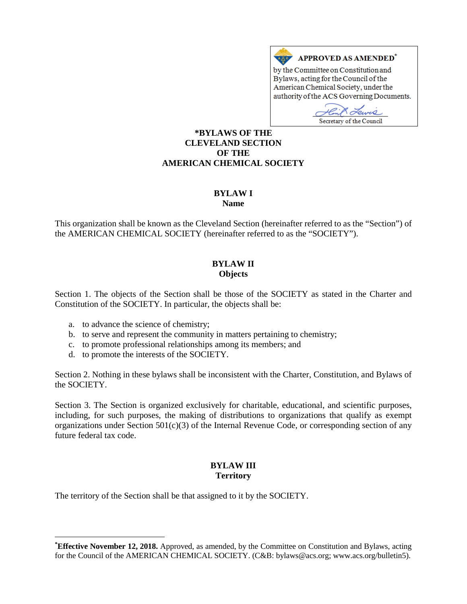

Lewis Secretary of the Council

#### **[\\*](#page-0-0)BYLAWS OF THE CLEVELAND SECTION OF THE AMERICAN CHEMICAL SOCIETY**

# **BYLAW I**

**Name**

This organization shall be known as the Cleveland Section (hereinafter referred to as the "Section") of the AMERICAN CHEMICAL SOCIETY (hereinafter referred to as the "SOCIETY").

#### **BYLAW II Objects**

Section 1. The objects of the Section shall be those of the SOCIETY as stated in the Charter and Constitution of the SOCIETY. In particular, the objects shall be:

a. to advance the science of chemistry;

 $\overline{a}$ 

- b. to serve and represent the community in matters pertaining to chemistry;
- c. to promote professional relationships among its members; and
- d. to promote the interests of the SOCIETY.

Section 2. Nothing in these bylaws shall be inconsistent with the Charter, Constitution, and Bylaws of the SOCIETY.

Section 3. The Section is organized exclusively for charitable, educational, and scientific purposes, including, for such purposes, the making of distributions to organizations that qualify as exempt organizations under Section  $501(c)(3)$  of the Internal Revenue Code, or corresponding section of any future federal tax code.

#### **BYLAW III Territory**

The territory of the Section shall be that assigned to it by the SOCIETY.

<span id="page-0-0"></span>**<sup>\*</sup> Effective November 12, 2018.** Approved, as amended, by the Committee on Constitution and Bylaws, acting for the Council of the AMERICAN CHEMICAL SOCIETY. (C&B: bylaws@acs.org; www.acs.org/bulletin5).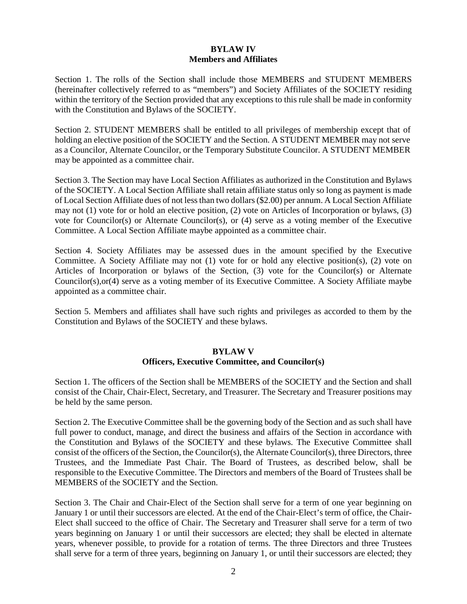# **BYLAW IV Members and Affiliates**

Section 1. The rolls of the Section shall include those MEMBERS and STUDENT MEMBERS (hereinafter collectively referred to as "members") and Society Affiliates of the SOCIETY residing within the territory of the Section provided that any exceptions to this rule shall be made in conformity with the Constitution and Bylaws of the SOCIETY.

Section 2. STUDENT MEMBERS shall be entitled to all privileges of membership except that of holding an elective position of the SOCIETY and the Section. A STUDENT MEMBER may not serve as a Councilor, Alternate Councilor, or the Temporary Substitute Councilor. A STUDENT MEMBER may be appointed as a committee chair.

Section 3. The Section may have Local Section Affiliates as authorized in the Constitution and Bylaws of the SOCIETY. A Local Section Affiliate shall retain affiliate status only so long as payment is made of Local Section Affiliate dues of not less than two dollars (\$2.00) per annum. A Local Section Affiliate may not (1) vote for or hold an elective position, (2) vote on Articles of Incorporation or bylaws, (3) vote for Councilor(s) or Alternate Councilor(s), or (4) serve as a voting member of the Executive Committee. A Local Section Affiliate maybe appointed as a committee chair.

Section 4. Society Affiliates may be assessed dues in the amount specified by the Executive Committee. A Society Affiliate may not (1) vote for or hold any elective position(s), (2) vote on Articles of Incorporation or bylaws of the Section, (3) vote for the Councilor(s) or Alternate Councilor(s),or(4) serve as a voting member of its Executive Committee. A Society Affiliate maybe appointed as a committee chair.

Section 5. Members and affiliates shall have such rights and privileges as accorded to them by the Constitution and Bylaws of the SOCIETY and these bylaws.

## **BYLAW V Officers, Executive Committee, and Councilor(s)**

Section 1. The officers of the Section shall be MEMBERS of the SOCIETY and the Section and shall consist of the Chair, Chair-Elect, Secretary, and Treasurer. The Secretary and Treasurer positions may be held by the same person.

Section 2. The Executive Committee shall be the governing body of the Section and as such shall have full power to conduct, manage, and direct the business and affairs of the Section in accordance with the Constitution and Bylaws of the SOCIETY and these bylaws. The Executive Committee shall consist of the officers of the Section, the Councilor(s), the Alternate Councilor(s), three Directors, three Trustees, and the Immediate Past Chair. The Board of Trustees, as described below, shall be responsible to the Executive Committee. The Directors and members of the Board of Trustees shall be MEMBERS of the SOCIETY and the Section.

Section 3. The Chair and Chair-Elect of the Section shall serve for a term of one year beginning on January 1 or until their successors are elected. At the end of the Chair-Elect's term of office, the Chair-Elect shall succeed to the office of Chair. The Secretary and Treasurer shall serve for a term of two years beginning on January 1 or until their successors are elected; they shall be elected in alternate years, whenever possible, to provide for a rotation of terms. The three Directors and three Trustees shall serve for a term of three years, beginning on January 1, or until their successors are elected; they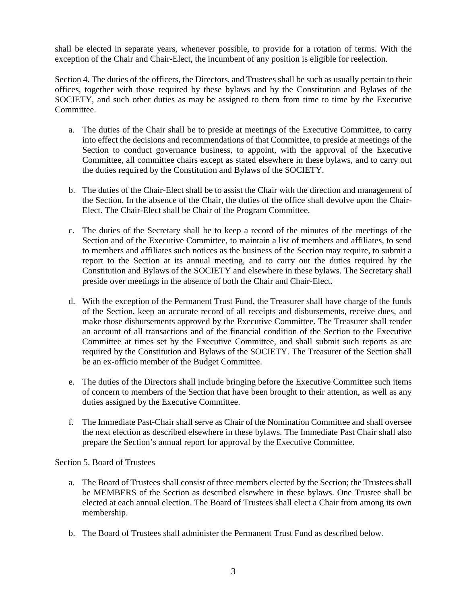shall be elected in separate years, whenever possible, to provide for a rotation of terms. With the exception of the Chair and Chair-Elect, the incumbent of any position is eligible for reelection.

Section 4. The duties of the officers, the Directors, and Trustees shall be such as usually pertain to their offices, together with those required by these bylaws and by the Constitution and Bylaws of the SOCIETY, and such other duties as may be assigned to them from time to time by the Executive **Committee** 

- a. The duties of the Chair shall be to preside at meetings of the Executive Committee, to carry into effect the decisions and recommendations of that Committee, to preside at meetings of the Section to conduct governance business, to appoint, with the approval of the Executive Committee, all committee chairs except as stated elsewhere in these bylaws, and to carry out the duties required by the Constitution and Bylaws of the SOCIETY.
- b. The duties of the Chair-Elect shall be to assist the Chair with the direction and management of the Section. In the absence of the Chair, the duties of the office shall devolve upon the Chair-Elect. The Chair-Elect shall be Chair of the Program Committee.
- c. The duties of the Secretary shall be to keep a record of the minutes of the meetings of the Section and of the Executive Committee, to maintain a list of members and affiliates, to send to members and affiliates such notices as the business of the Section may require, to submit a report to the Section at its annual meeting, and to carry out the duties required by the Constitution and Bylaws of the SOCIETY and elsewhere in these bylaws. The Secretary shall preside over meetings in the absence of both the Chair and Chair-Elect.
- d. With the exception of the Permanent Trust Fund, the Treasurer shall have charge of the funds of the Section, keep an accurate record of all receipts and disbursements, receive dues, and make those disbursements approved by the Executive Committee. The Treasurer shall render an account of all transactions and of the financial condition of the Section to the Executive Committee at times set by the Executive Committee, and shall submit such reports as are required by the Constitution and Bylaws of the SOCIETY. The Treasurer of the Section shall be an ex-officio member of the Budget Committee.
- e. The duties of the Directors shall include bringing before the Executive Committee such items of concern to members of the Section that have been brought to their attention, as well as any duties assigned by the Executive Committee.
- f. The Immediate Past-Chair shall serve as Chair of the Nomination Committee and shall oversee the next election as described elsewhere in these bylaws. The Immediate Past Chair shall also prepare the Section's annual report for approval by the Executive Committee.

## Section 5. Board of Trustees

- a. The Board of Trustees shall consist of three members elected by the Section; the Trustees shall be MEMBERS of the Section as described elsewhere in these bylaws. One Trustee shall be elected at each annual election. The Board of Trustees shall elect a Chair from among its own membership.
- b. The Board of Trustees shall administer the Permanent Trust Fund as described below.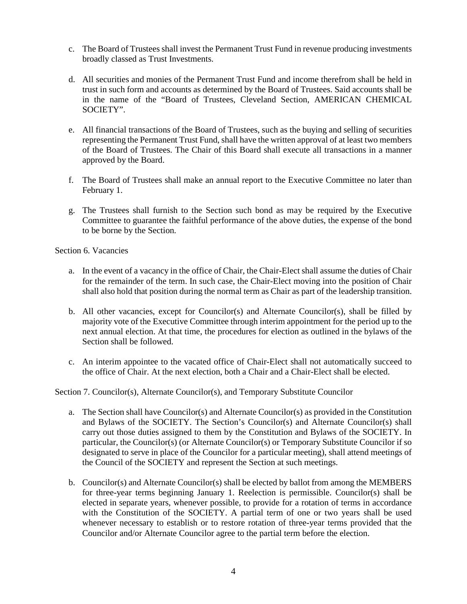- c. The Board of Trustees shall invest the Permanent Trust Fund in revenue producing investments broadly classed as Trust Investments.
- d. All securities and monies of the Permanent Trust Fund and income therefrom shall be held in trust in such form and accounts as determined by the Board of Trustees. Said accounts shall be in the name of the "Board of Trustees, Cleveland Section, AMERICAN CHEMICAL SOCIETY".
- e. All financial transactions of the Board of Trustees, such as the buying and selling of securities representing the Permanent Trust Fund, shall have the written approval of at least two members of the Board of Trustees. The Chair of this Board shall execute all transactions in a manner approved by the Board.
- f. The Board of Trustees shall make an annual report to the Executive Committee no later than February 1.
- g. The Trustees shall furnish to the Section such bond as may be required by the Executive Committee to guarantee the faithful performance of the above duties, the expense of the bond to be borne by the Section.

Section 6. Vacancies

- a. In the event of a vacancy in the office of Chair, the Chair-Elect shall assume the duties of Chair for the remainder of the term. In such case, the Chair-Elect moving into the position of Chair shall also hold that position during the normal term as Chair as part of the leadership transition.
- b. All other vacancies, except for Councilor(s) and Alternate Councilor(s), shall be filled by majority vote of the Executive Committee through interim appointment for the period up to the next annual election. At that time, the procedures for election as outlined in the bylaws of the Section shall be followed.
- c. An interim appointee to the vacated office of Chair-Elect shall not automatically succeed to the office of Chair. At the next election, both a Chair and a Chair-Elect shall be elected.

Section 7. Councilor(s), Alternate Councilor(s), and Temporary Substitute Councilor

- a. The Section shall have Councilor(s) and Alternate Councilor(s) as provided in the Constitution and Bylaws of the SOCIETY. The Section's Councilor(s) and Alternate Councilor(s) shall carry out those duties assigned to them by the Constitution and Bylaws of the SOCIETY. In particular, the Councilor(s) (or Alternate Councilor(s) or Temporary Substitute Councilor if so designated to serve in place of the Councilor for a particular meeting), shall attend meetings of the Council of the SOCIETY and represent the Section at such meetings.
- b. Councilor(s) and Alternate Councilor(s) shall be elected by ballot from among the MEMBERS for three-year terms beginning January 1. Reelection is permissible. Councilor(s) shall be elected in separate years, whenever possible, to provide for a rotation of terms in accordance with the Constitution of the SOCIETY. A partial term of one or two years shall be used whenever necessary to establish or to restore rotation of three-year terms provided that the Councilor and/or Alternate Councilor agree to the partial term before the election.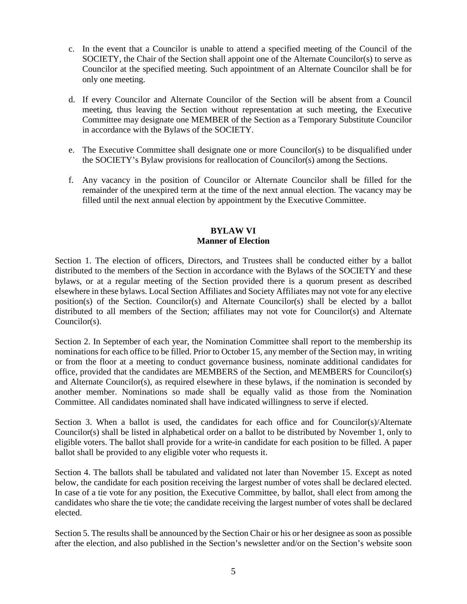- c. In the event that a Councilor is unable to attend a specified meeting of the Council of the SOCIETY, the Chair of the Section shall appoint one of the Alternate Councilor(s) to serve as Councilor at the specified meeting. Such appointment of an Alternate Councilor shall be for only one meeting.
- d. If every Councilor and Alternate Councilor of the Section will be absent from a Council meeting, thus leaving the Section without representation at such meeting, the Executive Committee may designate one MEMBER of the Section as a Temporary Substitute Councilor in accordance with the Bylaws of the SOCIETY.
- e. The Executive Committee shall designate one or more Councilor(s) to be disqualified under the SOCIETY's Bylaw provisions for reallocation of Councilor(s) among the Sections.
- f. Any vacancy in the position of Councilor or Alternate Councilor shall be filled for the remainder of the unexpired term at the time of the next annual election. The vacancy may be filled until the next annual election by appointment by the Executive Committee.

#### **BYLAW VI Manner of Election**

Section 1. The election of officers, Directors, and Trustees shall be conducted either by a ballot distributed to the members of the Section in accordance with the Bylaws of the SOCIETY and these bylaws, or at a regular meeting of the Section provided there is a quorum present as described elsewhere in these bylaws. Local Section Affiliates and Society Affiliates may not vote for any elective position(s) of the Section. Councilor(s) and Alternate Councilor(s) shall be elected by a ballot distributed to all members of the Section; affiliates may not vote for Councilor(s) and Alternate Councilor(s).

Section 2. In September of each year, the Nomination Committee shall report to the membership its nominations for each office to be filled. Prior to October 15, any member of the Section may, in writing or from the floor at a meeting to conduct governance business, nominate additional candidates for office, provided that the candidates are MEMBERS of the Section, and MEMBERS for Councilor(s) and Alternate Councilor(s), as required elsewhere in these bylaws, if the nomination is seconded by another member. Nominations so made shall be equally valid as those from the Nomination Committee. All candidates nominated shall have indicated willingness to serve if elected.

Section 3. When a ballot is used, the candidates for each office and for Councilor(s)/Alternate Councilor(s) shall be listed in alphabetical order on a ballot to be distributed by November 1, only to eligible voters. The ballot shall provide for a write-in candidate for each position to be filled. A paper ballot shall be provided to any eligible voter who requests it.

Section 4. The ballots shall be tabulated and validated not later than November 15. Except as noted below, the candidate for each position receiving the largest number of votes shall be declared elected. In case of a tie vote for any position, the Executive Committee, by ballot, shall elect from among the candidates who share the tie vote; the candidate receiving the largest number of votes shall be declared elected.

Section 5. The results shall be announced by the Section Chair or his or her designee as soon as possible after the election, and also published in the Section's newsletter and/or on the Section's website soon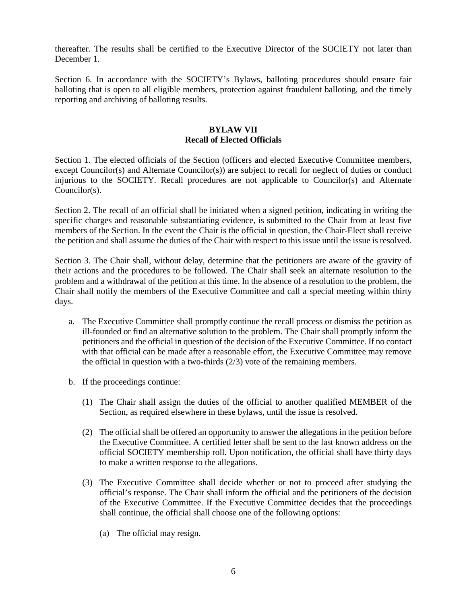thereafter. The results shall be certified to the Executive Director of the SOCIETY not later than December 1.

Section 6. In accordance with the SOCIETY's Bylaws, balloting procedures should ensure fair balloting that is open to all eligible members, protection against fraudulent balloting, and the timely reporting and archiving of balloting results.

#### **BYLAW VII Recall of Elected Officials**

Section 1. The elected officials of the Section (officers and elected Executive Committee members, except Councilor(s) and Alternate Councilor(s)) are subject to recall for neglect of duties or conduct injurious to the SOCIETY. Recall procedures are not applicable to Councilor(s) and Alternate Councilor(s).

Section 2. The recall of an official shall be initiated when a signed petition, indicating in writing the specific charges and reasonable substantiating evidence, is submitted to the Chair from at least five members of the Section. In the event the Chair is the official in question, the Chair-Elect shall receive the petition and shall assume the duties of the Chair with respect to this issue until the issue is resolved.

Section 3. The Chair shall, without delay, determine that the petitioners are aware of the gravity of their actions and the procedures to be followed. The Chair shall seek an alternate resolution to the problem and a withdrawal of the petition at this time. In the absence of a resolution to the problem, the Chair shall notify the members of the Executive Committee and call a special meeting within thirty days.

- a. The Executive Committee shall promptly continue the recall process or dismiss the petition as ill-founded or find an alternative solution to the problem. The Chair shall promptly inform the petitioners and the official in question of the decision of the Executive Committee. If no contact with that official can be made after a reasonable effort, the Executive Committee may remove the official in question with a two-thirds (2/3) vote of the remaining members.
- b. If the proceedings continue:
	- (1) The Chair shall assign the duties of the official to another qualified MEMBER of the Section, as required elsewhere in these bylaws, until the issue is resolved.
	- (2) The official shall be offered an opportunity to answer the allegations in the petition before the Executive Committee. A certified letter shall be sent to the last known address on the official SOCIETY membership roll. Upon notification, the official shall have thirty days to make a written response to the allegations.
	- (3) The Executive Committee shall decide whether or not to proceed after studying the official's response. The Chair shall inform the official and the petitioners of the decision of the Executive Committee. If the Executive Committee decides that the proceedings shall continue, the official shall choose one of the following options:
		- (a) The official may resign.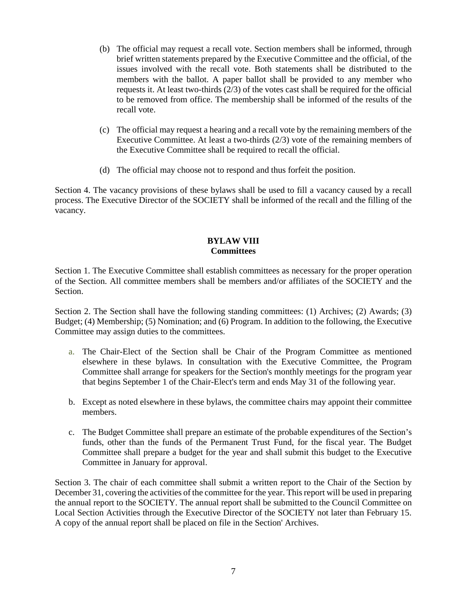- (b) The official may request a recall vote. Section members shall be informed, through brief written statements prepared by the Executive Committee and the official, of the issues involved with the recall vote. Both statements shall be distributed to the members with the ballot. A paper ballot shall be provided to any member who requests it. At least two-thirds  $(2/3)$  of the votes cast shall be required for the official to be removed from office. The membership shall be informed of the results of the recall vote.
- (c) The official may request a hearing and a recall vote by the remaining members of the Executive Committee. At least a two-thirds (2/3) vote of the remaining members of the Executive Committee shall be required to recall the official.
- (d) The official may choose not to respond and thus forfeit the position.

Section 4. The vacancy provisions of these bylaws shall be used to fill a vacancy caused by a recall process. The Executive Director of the SOCIETY shall be informed of the recall and the filling of the vacancy.

#### **BYLAW VIII Committees**

Section 1. The Executive Committee shall establish committees as necessary for the proper operation of the Section. All committee members shall be members and/or affiliates of the SOCIETY and the Section.

Section 2. The Section shall have the following standing committees: (1) Archives; (2) Awards; (3) Budget; (4) Membership; (5) Nomination; and (6) Program. In addition to the following, the Executive Committee may assign duties to the committees.

- a. The Chair-Elect of the Section shall be Chair of the Program Committee as mentioned elsewhere in these bylaws. In consultation with the Executive Committee, the Program Committee shall arrange for speakers for the Section's monthly meetings for the program year that begins September 1 of the Chair-Elect's term and ends May 31 of the following year.
- b. Except as noted elsewhere in these bylaws, the committee chairs may appoint their committee members.
- c. The Budget Committee shall prepare an estimate of the probable expenditures of the Section's funds, other than the funds of the Permanent Trust Fund, for the fiscal year. The Budget Committee shall prepare a budget for the year and shall submit this budget to the Executive Committee in January for approval.

Section 3. The chair of each committee shall submit a written report to the Chair of the Section by December 31, covering the activities of the committee for the year. This report will be used in preparing the annual report to the SOCIETY. The annual report shall be submitted to the Council Committee on Local Section Activities through the Executive Director of the SOCIETY not later than February 15. A copy of the annual report shall be placed on file in the Section' Archives.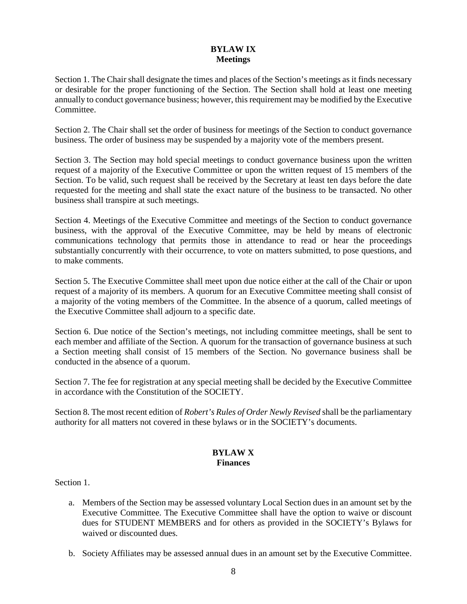# **BYLAW IX Meetings**

Section 1. The Chair shall designate the times and places of the Section's meetings as it finds necessary or desirable for the proper functioning of the Section. The Section shall hold at least one meeting annually to conduct governance business; however, this requirement may be modified by the Executive **Committee** 

Section 2. The Chair shall set the order of business for meetings of the Section to conduct governance business. The order of business may be suspended by a majority vote of the members present.

Section 3. The Section may hold special meetings to conduct governance business upon the written request of a majority of the Executive Committee or upon the written request of 15 members of the Section. To be valid, such request shall be received by the Secretary at least ten days before the date requested for the meeting and shall state the exact nature of the business to be transacted. No other business shall transpire at such meetings.

Section 4. Meetings of the Executive Committee and meetings of the Section to conduct governance business, with the approval of the Executive Committee, may be held by means of electronic communications technology that permits those in attendance to read or hear the proceedings substantially concurrently with their occurrence, to vote on matters submitted, to pose questions, and to make comments.

Section 5. The Executive Committee shall meet upon due notice either at the call of the Chair or upon request of a majority of its members. A quorum for an Executive Committee meeting shall consist of a majority of the voting members of the Committee. In the absence of a quorum, called meetings of the Executive Committee shall adjourn to a specific date.

Section 6. Due notice of the Section's meetings, not including committee meetings, shall be sent to each member and affiliate of the Section. A quorum for the transaction of governance business at such a Section meeting shall consist of 15 members of the Section. No governance business shall be conducted in the absence of a quorum.

Section 7. The fee for registration at any special meeting shall be decided by the Executive Committee in accordance with the Constitution of the SOCIETY.

Section 8. The most recent edition of *Robert's Rules of Order Newly Revised* shall be the parliamentary authority for all matters not covered in these bylaws or in the SOCIETY's documents.

## **BYLAW X Finances**

Section 1.

- a. Members of the Section may be assessed voluntary Local Section dues in an amount set by the Executive Committee. The Executive Committee shall have the option to waive or discount dues for STUDENT MEMBERS and for others as provided in the SOCIETY's Bylaws for waived or discounted dues.
- b. Society Affiliates may be assessed annual dues in an amount set by the Executive Committee.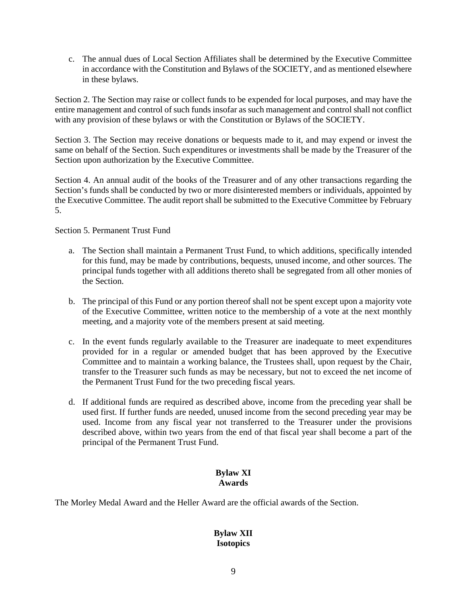c. The annual dues of Local Section Affiliates shall be determined by the Executive Committee in accordance with the Constitution and Bylaws of the SOCIETY, and as mentioned elsewhere in these bylaws.

Section 2. The Section may raise or collect funds to be expended for local purposes, and may have the entire management and control of such funds insofar as such management and control shall not conflict with any provision of these bylaws or with the Constitution or Bylaws of the SOCIETY.

Section 3. The Section may receive donations or bequests made to it, and may expend or invest the same on behalf of the Section. Such expenditures or investments shall be made by the Treasurer of the Section upon authorization by the Executive Committee.

Section 4. An annual audit of the books of the Treasurer and of any other transactions regarding the Section's funds shall be conducted by two or more disinterested members or individuals, appointed by the Executive Committee. The audit report shall be submitted to the Executive Committee by February 5.

Section 5. Permanent Trust Fund

- a. The Section shall maintain a Permanent Trust Fund, to which additions, specifically intended for this fund, may be made by contributions, bequests, unused income, and other sources. The principal funds together with all additions thereto shall be segregated from all other monies of the Section.
- b. The principal of this Fund or any portion thereof shall not be spent except upon a majority vote of the Executive Committee, written notice to the membership of a vote at the next monthly meeting, and a majority vote of the members present at said meeting.
- c. In the event funds regularly available to the Treasurer are inadequate to meet expenditures provided for in a regular or amended budget that has been approved by the Executive Committee and to maintain a working balance, the Trustees shall, upon request by the Chair, transfer to the Treasurer such funds as may be necessary, but not to exceed the net income of the Permanent Trust Fund for the two preceding fiscal years.
- d. If additional funds are required as described above, income from the preceding year shall be used first. If further funds are needed, unused income from the second preceding year may be used. Income from any fiscal year not transferred to the Treasurer under the provisions described above, within two years from the end of that fiscal year shall become a part of the principal of the Permanent Trust Fund.

## **Bylaw XI Awards**

The Morley Medal Award and the Heller Award are the official awards of the Section.

# **Bylaw XII Isotopics**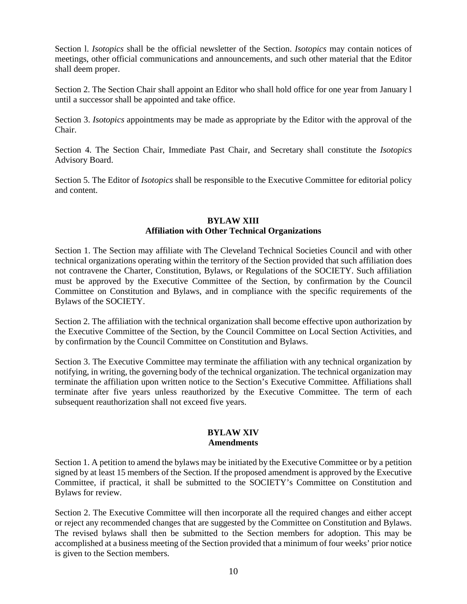Section l. *Isotopics* shall be the official newsletter of the Section. *Isotopics* may contain notices of meetings, other official communications and announcements, and such other material that the Editor shall deem proper.

Section 2. The Section Chair shall appoint an Editor who shall hold office for one year from January l until a successor shall be appointed and take office.

Section 3. *Isotopics* appointments may be made as appropriate by the Editor with the approval of the Chair.

Section 4. The Section Chair, Immediate Past Chair, and Secretary shall constitute the *Isotopics* Advisory Board.

Section 5. The Editor of *Isotopics* shall be responsible to the Executive Committee for editorial policy and content.

#### **BYLAW XIII Affiliation with Other Technical Organizations**

Section 1. The Section may affiliate with The Cleveland Technical Societies Council and with other technical organizations operating within the territory of the Section provided that such affiliation does not contravene the Charter, Constitution, Bylaws, or Regulations of the SOCIETY. Such affiliation must be approved by the Executive Committee of the Section, by confirmation by the Council Committee on Constitution and Bylaws, and in compliance with the specific requirements of the Bylaws of the SOCIETY.

Section 2. The affiliation with the technical organization shall become effective upon authorization by the Executive Committee of the Section, by the Council Committee on Local Section Activities, and by confirmation by the Council Committee on Constitution and Bylaws.

Section 3. The Executive Committee may terminate the affiliation with any technical organization by notifying, in writing, the governing body of the technical organization. The technical organization may terminate the affiliation upon written notice to the Section's Executive Committee. Affiliations shall terminate after five years unless reauthorized by the Executive Committee. The term of each subsequent reauthorization shall not exceed five years.

#### **BYLAW XIV Amendments**

Section 1. A petition to amend the bylaws may be initiated by the Executive Committee or by a petition signed by at least 15 members of the Section. If the proposed amendment is approved by the Executive Committee, if practical, it shall be submitted to the SOCIETY's Committee on Constitution and Bylaws for review.

Section 2. The Executive Committee will then incorporate all the required changes and either accept or reject any recommended changes that are suggested by the Committee on Constitution and Bylaws. The revised bylaws shall then be submitted to the Section members for adoption. This may be accomplished at a business meeting of the Section provided that a minimum of four weeks' prior notice is given to the Section members.